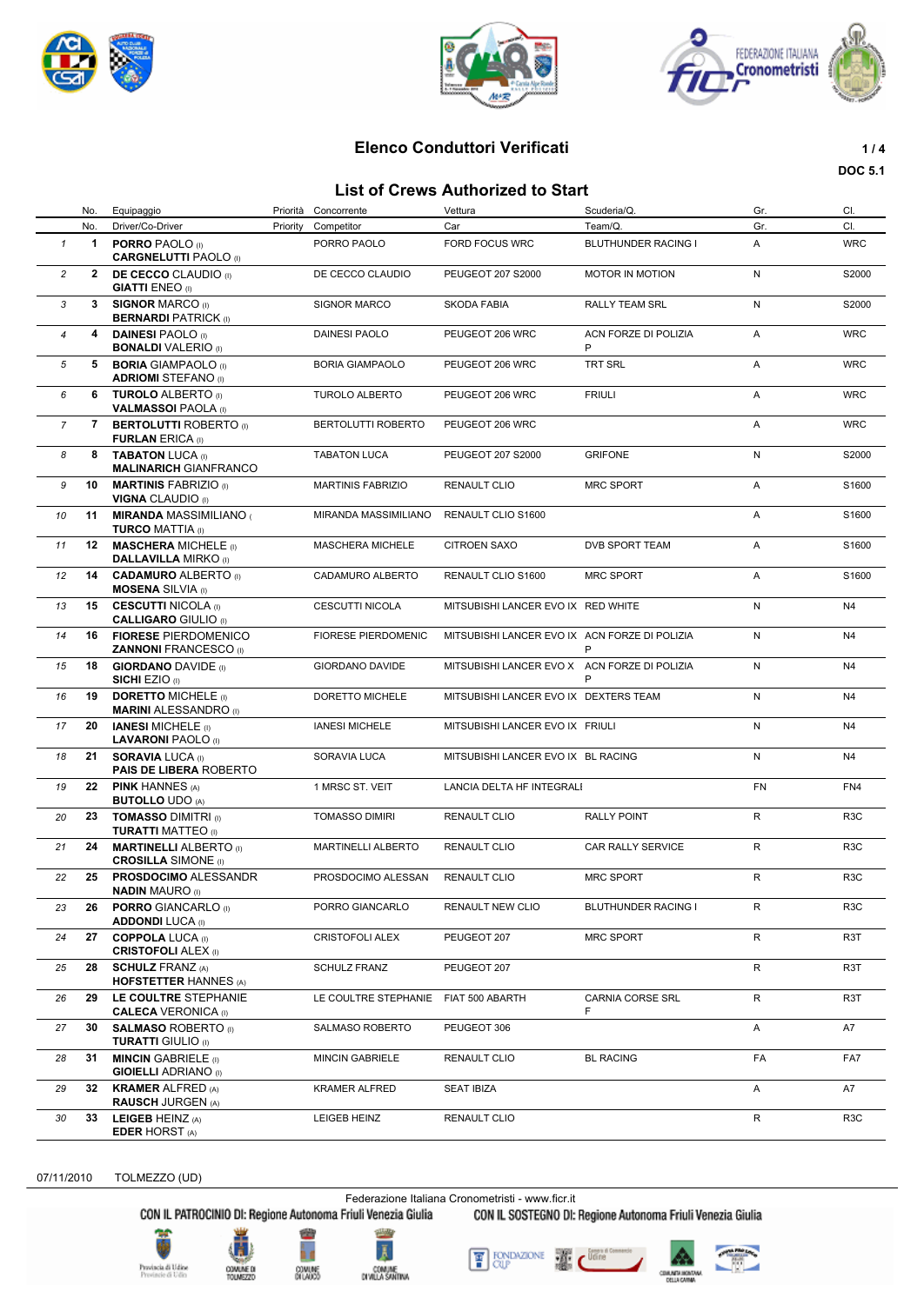





# **Elenco Conduttori Verificati 1/4**

#### **List of Crews Authorized to Start**

**DOC 5.1**

| List of Crews Authorized to Start |              |                                                             |          |                            |                                               |                           |     |                  |
|-----------------------------------|--------------|-------------------------------------------------------------|----------|----------------------------|-----------------------------------------------|---------------------------|-----|------------------|
|                                   | No.          | Equipaggio                                                  |          | Priorità Concorrente       | Vettura                                       | Scuderia/Q.               | Gr. | CI.              |
|                                   | No.          | Driver/Co-Driver                                            | Priority | Competitor                 | Car                                           | Team/Q.                   | Gr. | CI.              |
| $\mathbf{1}$                      | $\mathbf{1}$ | <b>PORRO PAOLO</b> (i)<br><b>CARGNELUTTI PAOLO</b> (I)      |          | PORRO PAOLO                | <b>FORD FOCUS WRC</b>                         | BLUTHUNDER RACING I       | A   | <b>WRC</b>       |
| $\overline{c}$                    | $\mathbf{2}$ | <b>DE CECCO</b> CLAUDIO (i)<br><b>GIATTI ENEO</b> (I)       |          | DE CECCO CLAUDIO           | PEUGEOT 207 S2000                             | MOTOR IN MOTION           | N   | S2000            |
| 3                                 | $3^{\circ}$  | <b>SIGNOR MARCO (I)</b><br><b>BERNARDI PATRICK (I)</b>      |          | <b>SIGNOR MARCO</b>        | <b>SKODA FABIA</b>                            | <b>RALLY TEAM SRL</b>     | N   | S2000            |
| $\overline{4}$                    | 4            | <b>DAINESI PAOLO</b> (I)<br><b>BONALDI</b> VALERIO (I)      |          | <b>DAINESI PAOLO</b>       | PEUGEOT 206 WRC                               | ACN FORZE DI POLIZIA<br>P | Α   | <b>WRC</b>       |
| 5                                 | 5            | <b>BORIA GIAMPAOLO</b> (I)<br><b>ADRIOMI</b> STEFANO (I)    |          | <b>BORIA GIAMPAOLO</b>     | PEUGEOT 206 WRC                               | <b>TRT SRL</b>            | Α   | <b>WRC</b>       |
| 6                                 | 6            | <b>TUROLO ALBERTO</b> (i)<br><b>VALMASSOI PAOLA (I)</b>     |          | TUROLO ALBERTO             | PEUGEOT 206 WRC                               | <b>FRIULI</b>             | Α   | <b>WRC</b>       |
| $\overline{7}$                    | 7            | <b>BERTOLUTTI ROBERTO</b> (I)<br><b>FURLAN ERICA (I)</b>    |          | BERTOLUTTI ROBERTO         | PEUGEOT 206 WRC                               |                           | Α   | <b>WRC</b>       |
| 8                                 | 8            | <b>TABATON LUCA (I)</b><br><b>MALINARICH GIANFRANCO</b>     |          | <b>TABATON LUCA</b>        | PEUGEOT 207 S2000                             | <b>GRIFONE</b>            | N   | S2000            |
| 9                                 | 10           | <b>MARTINIS FABRIZIO</b> (1)<br><b>VIGNA CLAUDIO</b> (I)    |          | <b>MARTINIS FABRIZIO</b>   | <b>RENAULT CLIO</b>                           | <b>MRC SPORT</b>          | A   | S1600            |
| 10                                | 11           | <b>MIRANDA MASSIMILIANO</b><br><b>TURCO MATTIA</b> (I)      |          | MIRANDA MASSIMILIANO       | RENAULT CLIO S1600                            |                           | Α   | S1600            |
| 11                                | 12           | <b>MASCHERA MICHELE</b> (I)<br><b>DALLAVILLA MIRKO</b> (I)  |          | <b>MASCHERA MICHELE</b>    | <b>CITROEN SAXO</b>                           | <b>DVB SPORT TEAM</b>     | Α   | S1600            |
| 12                                | 14           | <b>CADAMURO ALBERTO</b> (I)<br><b>MOSENA</b> SILVIA (I)     |          | CADAMURO ALBERTO           | RENAULT CLIO S1600                            | <b>MRC SPORT</b>          | Α   | S1600            |
| 13                                | 15           | <b>CESCUTTI NICOLA</b> (I)<br><b>CALLIGARO GIULIO</b> (I)   |          | CESCUTTI NICOLA            | MITSUBISHI LANCER EVO IX RED WHITE            |                           | N   | N4               |
| 14                                | 16           | <b>FIORESE PIERDOMENICO</b><br><b>ZANNONI FRANCESCO</b> (I) |          | <b>FIORESE PIERDOMENIC</b> | MITSUBISHI LANCER EVO IX ACN FORZE DI POLIZIA | P                         | N   | N4               |
| 15                                | 18           | <b>GIORDANO DAVIDE</b> (i)<br><b>SICHI EZIO</b> (I)         |          | <b>GIORDANO DAVIDE</b>     | MITSUBISHI LANCER EVO X ACN FORZE DI POLIZIA  | P                         | N   | N4               |
| 16                                | 19           | <b>DORETTO MICHELE (I)</b><br><b>MARINI ALESSANDRO</b> (I)  |          | DORETTO MICHELE            | MITSUBISHI LANCER EVO IX DEXTERS TEAM         |                           | N   | N4               |
| 17                                | 20           | <b>IANESI MICHELE</b> (i)<br><b>LAVARONI PAOLO</b> (I)      |          | <b>IANESI MICHELE</b>      | MITSUBISHI LANCER EVO IX FRIULI               |                           | N   | N4               |
| 18                                | 21           | <b>SORAVIA LUCA (I)</b><br><b>PAIS DE LIBERA ROBERTO</b>    |          | SORAVIA LUCA               | MITSUBISHI LANCER EVO IX BL RACING            |                           | N   | N4               |
| 19                                | 22           | <b>PINK HANNES (A)</b><br><b>BUTOLLO UDO (A)</b>            |          | 1 MRSC ST. VEIT            | LANCIA DELTA HF INTEGRALI                     |                           | FN  | FN4              |
| 20                                | 23           | <b>TOMASSO DIMITRI</b> (i)<br><b>TURATTI MATTEO</b> (I)     |          | <b>TOMASSO DIMIRI</b>      | <b>RENAULT CLIO</b>                           | <b>RALLY POINT</b>        | R   | R <sub>3</sub> C |
| 21                                | 24           | <b>MARTINELLI ALBERTO</b> (i)<br><b>CROSILLA SIMONE</b> (I) |          | <b>MARTINELLI ALBERTO</b>  | RENAULT CLIO                                  | CAR RALLY SERVICE         | R   | R <sub>3</sub> C |
| 22                                | 25           | <b>PROSDOCIMO ALESSANDR</b><br><b>NADIN MAURO (I)</b>       |          | PROSDOCIMO ALESSAN         | <b>RENAULT CLIO</b>                           | <b>MRC SPORT</b>          | R   | R <sub>3</sub> C |
| 23                                | 26           | <b>PORRO GIANCARLO</b> (I)<br><b>ADDONDI LUCA (I)</b>       |          | PORRO GIANCARLO            | RENAULT NEW CLIO                              | BLUTHUNDER RACING I       | R   | R <sub>3</sub> C |
| 24                                | 27           | <b>COPPOLA LUCA (I)</b><br><b>CRISTOFOLI ALEX (I)</b>       |          | CRISTOFOLI ALEX            | PEUGEOT 207                                   | <b>MRC SPORT</b>          | R   | R <sub>3</sub> T |
| 25                                | 28           | <b>SCHULZ FRANZ (A)</b><br><b>HOFSTETTER HANNES (A)</b>     |          | <b>SCHULZ FRANZ</b>        | PEUGEOT 207                                   |                           | R   | R3T              |
| 26                                | 29           | LE COULTRE STEPHANIE<br><b>CALECA VERONICA (I)</b>          |          | LE COULTRE STEPHANIE       | FIAT 500 ABARTH                               | CARNIA CORSE SRL<br>F     | R   | R <sub>3</sub> T |
| 27                                | 30           | <b>SALMASO ROBERTO</b> (I)<br><b>TURATTI GIULIO</b> (I)     |          | SALMASO ROBERTO            | PEUGEOT 306                                   |                           | Α   | A7               |
| 28                                | 31           | <b>MINCIN GABRIELE</b> (i)<br><b>GIOIELLI ADRIANO</b> (I)   |          | <b>MINCIN GABRIELE</b>     | RENAULT CLIO                                  | <b>BL RACING</b>          | FA  | FA7              |
| 29                                | 32           | <b>KRAMER ALFRED (A)</b><br><b>RAUSCH JURGEN (A)</b>        |          | <b>KRAMER ALFRED</b>       | <b>SEAT IBIZA</b>                             |                           | Α   | A7               |
| 30                                | 33           | LEIGEB HEINZ (A)<br><b>EDER HORST (A)</b>                   |          | LEIGEB HEINZ               | RENAULT CLIO                                  |                           | R   | R <sub>3</sub> C |

07/11/2010 TOLMEZZO (UD)

Federazione Italiana Cronometristi - www.ficr.it<br>CON IL PATROCINIO DI: Regione Autonoma Friuli Venezia Giulia CON IL SOSTEGNO DI:

CON IL SOSTEGNO DI: Regione Autonoma Friuli Venezia Giulia









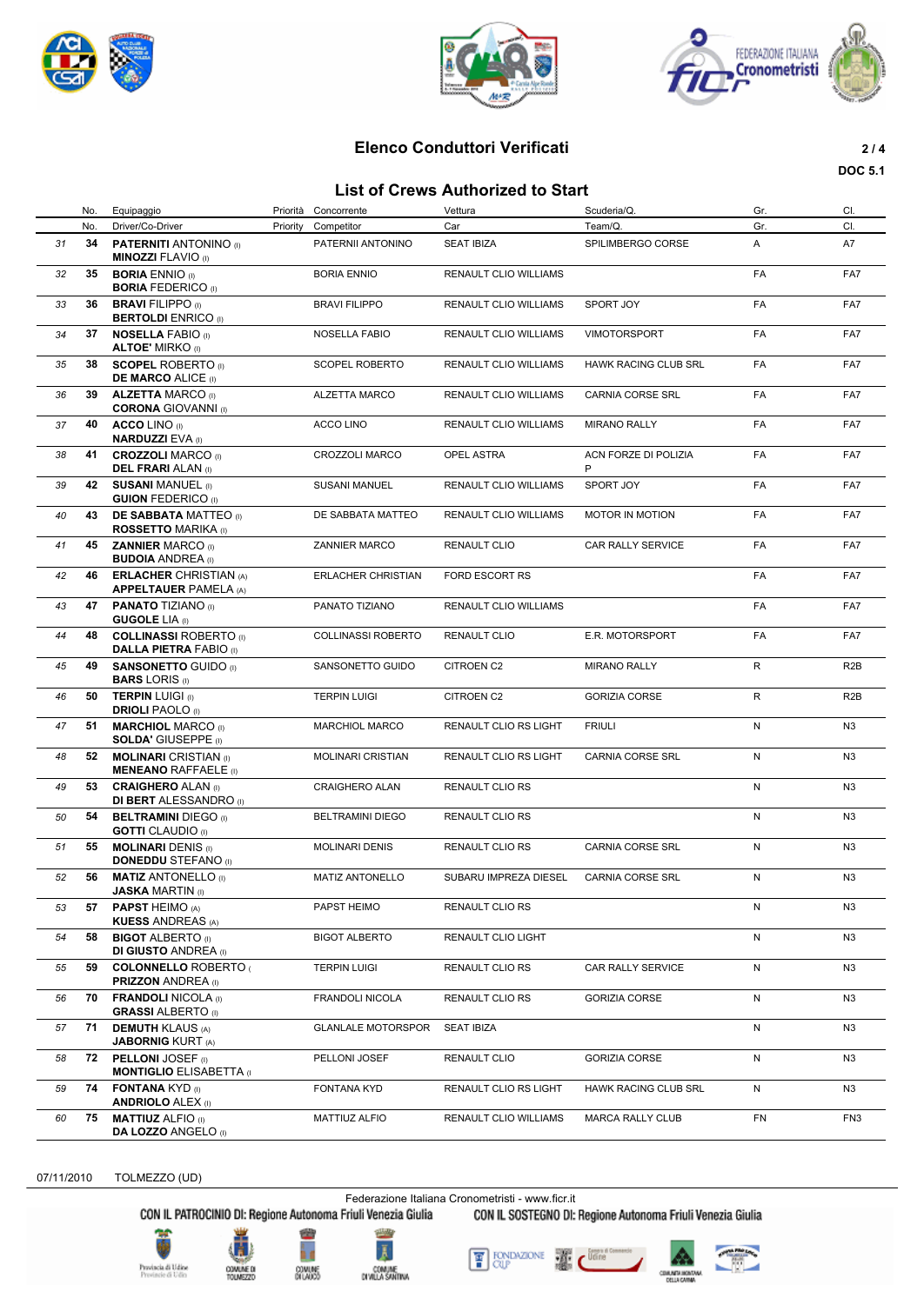





# **Elenco Conduttori Verificati 2 / 4**

#### **List of Crews Authorized to Start**

**DOC 5.1**

|    |     |                                                                |          |                           | בואג טו סוכאס המנווטו ובכמ נט טנמו נ |                             |           |                  |
|----|-----|----------------------------------------------------------------|----------|---------------------------|--------------------------------------|-----------------------------|-----------|------------------|
|    | No. | Equipaggio                                                     | Priorità | Concorrente               | Vettura                              | Scuderia/Q.                 | Gr.       | CI.              |
|    | No. | Driver/Co-Driver                                               | Priority | Competitor                | Car                                  | Team/Q.                     | Gr.       | CI.              |
| 31 | 34  | <b>PATERNITI ANTONINO</b> (I)<br><b>MINOZZI FLAVIO (I)</b>     |          | PATERNII ANTONINO         | <b>SEAT IBIZA</b>                    | SPILIMBERGO CORSE           | Α         | A7               |
| 32 | 35  | <b>BORIA ENNIO</b> (i)<br><b>BORIA FEDERICO</b> (I)            |          | <b>BORIA ENNIO</b>        | RENAULT CLIO WILLIAMS                |                             | FA        | FA7              |
| 33 | 36  | <b>BRAVI FILIPPO</b> (I)<br><b>BERTOLDI</b> ENRICO (I)         |          | <b>BRAVI FILIPPO</b>      | <b>RENAULT CLIO WILLIAMS</b>         | SPORT JOY                   | FA        | FA7              |
| 34 | 37  | <b>NOSELLA FABIO (I)</b><br><b>ALTOE' MIRKO</b> (I)            |          | <b>NOSELLA FABIO</b>      | RENAULT CLIO WILLIAMS                | <b>VIMOTORSPORT</b>         | FA        | FA7              |
| 35 | 38  | <b>SCOPEL ROBERTO</b> (i)<br><b>DE MARCO ALICE (I)</b>         |          | <b>SCOPEL ROBERTO</b>     | RENAULT CLIO WILLIAMS                | <b>HAWK RACING CLUB SRL</b> | FA        | FA7              |
| 36 | 39  | <b>ALZETTA MARCO (I)</b><br><b>CORONA GIOVANNI</b> (I)         |          | <b>ALZETTA MARCO</b>      | RENAULT CLIO WILLIAMS                | <b>CARNIA CORSE SRL</b>     | FA        | FA7              |
| 37 | 40  | <b>ACCO LINO</b> (I)<br><b>NARDUZZI EVA (I)</b>                |          | <b>ACCO LINO</b>          | RENAULT CLIO WILLIAMS                | <b>MIRANO RALLY</b>         | <b>FA</b> | FA7              |
| 38 | 41  | <b>CROZZOLI MARCO (I)</b><br><b>DEL FRARI</b> ALAN (I)         |          | <b>CROZZOLI MARCO</b>     | OPEL ASTRA                           | ACN FORZE DI POLIZIA<br>P   | FA        | FA7              |
| 39 | 42  | <b>SUSANI MANUEL (I)</b><br><b>GUION FEDERICO</b> (I)          |          | <b>SUSANI MANUEL</b>      | RENAULT CLIO WILLIAMS                | SPORT JOY                   | <b>FA</b> | FA7              |
| 40 | 43  | <b>DE SABBATA MATTEO</b> (I)<br><b>ROSSETTO MARIKA</b> (i)     |          | DE SABBATA MATTEO         | RENAULT CLIO WILLIAMS                | <b>MOTOR IN MOTION</b>      | FA        | FA7              |
| 41 | 45  | <b>ZANNIER MARCO (I)</b><br><b>BUDOIA ANDREA</b> (I)           |          | <b>ZANNIER MARCO</b>      | <b>RENAULT CLIO</b>                  | <b>CAR RALLY SERVICE</b>    | <b>FA</b> | FA7              |
| 42 | 46  | <b>ERLACHER CHRISTIAN (A)</b><br><b>APPELTAUER PAMELA (A)</b>  |          | <b>ERLACHER CHRISTIAN</b> | <b>FORD ESCORT RS</b>                |                             | FA        | FA7              |
| 43 | 47  | <b>PANATO TIZIANO (I)</b><br><b>GUGOLE LIA (I)</b>             |          | PANATO TIZIANO            | <b>RENAULT CLIO WILLIAMS</b>         |                             | FA        | FA7              |
| 44 | 48  | <b>COLLINASSI ROBERTO</b> (i)<br><b>DALLA PIETRA FABIO (I)</b> |          | <b>COLLINASSI ROBERTO</b> | <b>RENAULT CLIO</b>                  | E.R. MOTORSPORT             | FA        | FA7              |
| 45 | 49  | <b>SANSONETTO GUIDO (I)</b><br><b>BARS LORIS (I)</b>           |          | SANSONETTO GUIDO          | CITROEN C2                           | <b>MIRANO RALLY</b>         | R         | R <sub>2</sub> B |
| 46 | 50  | <b>TERPIN LUIGI (i)</b><br><b>DRIOLI PAOLO</b> (I)             |          | <b>TERPIN LUIGI</b>       | <b>CITROEN C2</b>                    | <b>GORIZIA CORSE</b>        | R         | R <sub>2</sub> B |
| 47 | 51  | <b>MARCHIOL MARCO</b> (I)<br><b>SOLDA' GIUSEPPE</b> (I)        |          | <b>MARCHIOL MARCO</b>     | RENAULT CLIO RS LIGHT                | <b>FRIULI</b>               | N         | N <sub>3</sub>   |
| 48 | 52  | <b>MOLINARI</b> CRISTIAN (I)<br><b>MENEANO RAFFAELE</b> (i)    |          | <b>MOLINARI CRISTIAN</b>  | RENAULT CLIO RS LIGHT                | CARNIA CORSE SRL            | N         | N <sub>3</sub>   |
| 49 | 53  | <b>CRAIGHERO ALAN (I)</b><br><b>DI BERT</b> ALESSANDRO (I)     |          | CRAIGHERO ALAN            | RENAULT CLIO RS                      |                             | N         | N3               |
| 50 | 54  | <b>BELTRAMINI DIEGO</b> (i)<br><b>GOTTI</b> CLAUDIO (I)        |          | <b>BELTRAMINI DIEGO</b>   | RENAULT CLIO RS                      |                             | N         | N <sub>3</sub>   |
| 51 | 55  | <b>MOLINARI DENIS (I)</b><br><b>DONEDDU STEFANO</b> (I)        |          | <b>MOLINARI DENIS</b>     | RENAULT CLIO RS                      | CARNIA CORSE SRL            | Ν         | N <sub>3</sub>   |
| 52 | 56  | <b>MATIZ ANTONELLO</b> (I)<br><b>JASKA MARTIN</b> (I)          |          | <b>MATIZ ANTONELLO</b>    | SUBARU IMPREZA DIESEL                | <b>CARNIA CORSE SRL</b>     | N         | N <sub>3</sub>   |
| 53 | 57  | <b>PAPST HEIMO (A)</b><br><b>KUESS ANDREAS (A)</b>             |          | PAPST HEIMO               | RENAULT CLIO RS                      |                             | N         | N <sub>3</sub>   |
| 54 | 58  | <b>BIGOT ALBERTO</b> (I)<br><b>DI GIUSTO ANDREA</b> (I)        |          | <b>BIGOT ALBERTO</b>      | RENAULT CLIO LIGHT                   |                             | N         | N <sub>3</sub>   |
| 55 | 59  | <b>COLONNELLO ROBERTO (</b><br><b>PRIZZON ANDREA</b> (I)       |          | <b>TERPIN LUIGI</b>       | RENAULT CLIO RS                      | CAR RALLY SERVICE           | N         | N <sub>3</sub>   |
| 56 | 70  | <b>FRANDOLI NICOLA (I)</b><br><b>GRASSI ALBERTO</b> (I)        |          | FRANDOLI NICOLA           | RENAULT CLIO RS                      | <b>GORIZIA CORSE</b>        | N         | N <sub>3</sub>   |
| 57 | 71  | <b>DEMUTH KLAUS (A)</b><br><b>JABORNIG KURT (A)</b>            |          | <b>GLANLALE MOTORSPOR</b> | <b>SEAT IBIZA</b>                    |                             | N         | N <sub>3</sub>   |
| 58 | 72  | <b>PELLONI JOSEF</b> (i)<br><b>MONTIGLIO ELISABETTA</b> (I)    |          | PELLONI JOSEF             | RENAULT CLIO                         | <b>GORIZIA CORSE</b>        | N         | N <sub>3</sub>   |
| 59 | 74  | <b>FONTANA KYD (I)</b><br><b>ANDRIOLO ALEX (I)</b>             |          | FONTANA KYD               | RENAULT CLIO RS LIGHT                | HAWK RACING CLUB SRL        | N         | N <sub>3</sub>   |
| 60 | 75  | <b>MATTIUZ ALFIO</b> (I)<br><b>DA LOZZO ANGELO (I)</b>         |          | MATTIUZ ALFIO             | RENAULT CLIO WILLIAMS                | <b>MARCA RALLY CLUB</b>     | FN        | FN <sub>3</sub>  |

07/11/2010 TOLMEZZO (UD)

Federazione Italiana Cronometristi - www.ficr.it<br>CON IL PATROCINIO DI: Regione Autonoma Friuli Venezia Giulia CON IL SOSTEGNO DI:

CON IL SOSTEGNO DI: Regione Autonoma Friuli Venezia Giulia





**COMUNE D**<br>TOM METER







4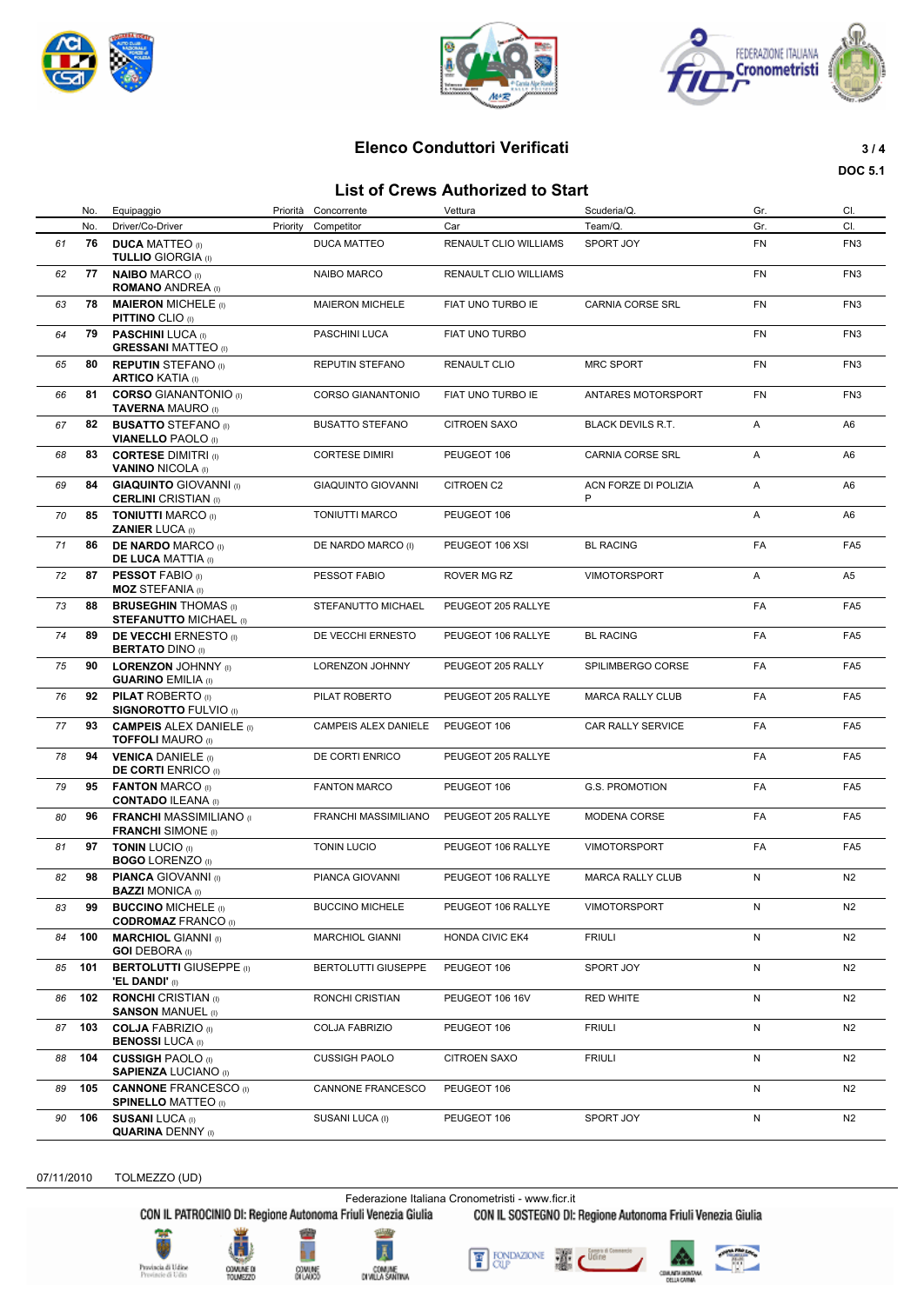





# **Elenco Conduttori Verificati 3 / 4**

#### **List of Crews Authorized to Start**

**DOC 5.1**

|    | List of Crews Authorized to Start |                                                              |          |                           |                        |                           |           |                 |  |
|----|-----------------------------------|--------------------------------------------------------------|----------|---------------------------|------------------------|---------------------------|-----------|-----------------|--|
|    | No.                               | Equipaggio                                                   | Priorità | Concorrente               | Vettura                | Scuderia/Q.               | Gr.       | CI.             |  |
|    | No.                               | Driver/Co-Driver                                             | Priority | Competitor                | Car                    | Team/Q.                   | Gr.       | CI.             |  |
| 61 | 76                                | <b>DUCA MATTEO</b> (I)<br><b>TULLIO GIORGIA (I)</b>          |          | DUCA MATTEO               | RENAULT CLIO WILLIAMS  | SPORT JOY                 | FN        | FN <sub>3</sub> |  |
| 62 | 77                                | <b>NAIBO MARCO (I)</b><br><b>ROMANO ANDREA</b> (I)           |          | <b>NAIBO MARCO</b>        | RENAULT CLIO WILLIAMS  |                           | <b>FN</b> | FN <sub>3</sub> |  |
| 63 | 78                                | <b>MAIERON MICHELE (I)</b><br><b>PITTINO CLIO</b> (I)        |          | <b>MAIERON MICHELE</b>    | FIAT UNO TURBO IE      | CARNIA CORSE SRL          | FN        | FN <sub>3</sub> |  |
| 64 | 79                                | <b>PASCHINI LUCA</b> (I)<br><b>GRESSANI MATTEO</b> (I)       |          | PASCHINI LUCA             | FIAT UNO TURBO         |                           | <b>FN</b> | FN <sub>3</sub> |  |
| 65 | 80                                | <b>REPUTIN STEFANO</b> (I)<br><b>ARTICO KATIA</b> (I)        |          | REPUTIN STEFANO           | <b>RENAULT CLIO</b>    | <b>MRC SPORT</b>          | FN        | FN <sub>3</sub> |  |
| 66 | 81                                | <b>CORSO GIANANTONIO (I)</b><br><b>TAVERNA MAURO</b> (I)     |          | <b>CORSO GIANANTONIO</b>  | FIAT UNO TURBO IE      | ANTARES MOTORSPORT        | FN        | FN <sub>3</sub> |  |
| 67 | 82                                | <b>BUSATTO STEFANO</b> (I)<br><b>VIANELLO PAOLO</b> (I)      |          | <b>BUSATTO STEFANO</b>    | <b>CITROEN SAXO</b>    | <b>BLACK DEVILS R.T.</b>  | Α         | A6              |  |
| 68 | 83                                | <b>CORTESE DIMITRI</b> (i)<br><b>VANINO NICOLA</b> (I)       |          | <b>CORTESE DIMIRI</b>     | PEUGEOT 106            | CARNIA CORSE SRL          | Α         | A6              |  |
| 69 | 84                                | <b>GIAQUINTO</b> GIOVANNI (I)<br><b>CERLINI</b> CRISTIAN (I) |          | <b>GIAQUINTO GIOVANNI</b> | <b>CITROEN C2</b>      | ACN FORZE DI POLIZIA<br>P | Α         | A6              |  |
| 70 | 85                                | <b>TONIUTTI MARCO (I)</b><br><b>ZANIER LUCA (I)</b>          |          | <b>TONIUTTI MARCO</b>     | PEUGEOT 106            |                           | Α         | A <sub>6</sub>  |  |
| 71 | 86                                | <b>DE NARDO MARCO (I)</b><br><b>DE LUCA MATTIA</b> (I)       |          | DE NARDO MARCO (I)        | PEUGEOT 106 XSI        | <b>BL RACING</b>          | FA        | FA <sub>5</sub> |  |
| 72 | 87                                | <b>PESSOT FABIO (i)</b><br><b>MOZ STEFANIA (I)</b>           |          | PESSOT FABIO              | ROVER MG RZ            | <b>VIMOTORSPORT</b>       | Α         | A <sub>5</sub>  |  |
| 73 | 88                                | <b>BRUSEGHIN THOMAS</b> (I)<br><b>STEFANUTTO MICHAEL (I)</b> |          | STEFANUTTO MICHAEL        | PEUGEOT 205 RALLYE     |                           | FA        | FA <sub>5</sub> |  |
| 74 | 89                                | <b>DE VECCHI ERNESTO</b> (0)<br><b>BERTATO DINO (I)</b>      |          | DE VECCHI ERNESTO         | PEUGEOT 106 RALLYE     | <b>BL RACING</b>          | FA        | FA <sub>5</sub> |  |
| 75 | 90                                | <b>LORENZON JOHNNY</b> (I)<br><b>GUARINO EMILIA (I)</b>      |          | LORENZON JOHNNY           | PEUGEOT 205 RALLY      | SPILIMBERGO CORSE         | FA        | FA <sub>5</sub> |  |
| 76 | 92                                | <b>PILAT ROBERTO</b> (I)<br><b>SIGNOROTTO FULVIO</b> (I)     |          | PILAT ROBERTO             | PEUGEOT 205 RALLYE     | <b>MARCA RALLY CLUB</b>   | FA        | FA <sub>5</sub> |  |
| 77 | 93                                | <b>CAMPEIS ALEX DANIELE (I)</b><br><b>TOFFOLI MAURO (I)</b>  |          | CAMPEIS ALEX DANIELE      | PEUGEOT 106            | CAR RALLY SERVICE         | FA        | FA <sub>5</sub> |  |
| 78 | 94                                | <b>VENICA DANIELE</b> (i)<br><b>DE CORTI ENRICO</b> (I)      |          | DE CORTI ENRICO           | PEUGEOT 205 RALLYE     |                           | FA        | FA <sub>5</sub> |  |
| 79 | 95                                | <b>FANTON MARCO (I)</b><br><b>CONTADO ILEANA (I)</b>         |          | <b>FANTON MARCO</b>       | PEUGEOT 106            | G.S. PROMOTION            | FA        | FA <sub>5</sub> |  |
| 80 | 96 -                              | <b>FRANCHI MASSIMILIANO</b> (1)<br><b>FRANCHI</b> SIMONE (I) |          | FRANCHI MASSIMILIANO      | PEUGEOT 205 RALLYE     | MODENA CORSE              | FA        | FA <sub>5</sub> |  |
| 81 | 97                                | <b>TONIN LUCIO</b> (I)<br><b>BOGO LORENZO</b> (I)            |          | <b>TONIN LUCIO</b>        | PEUGEOT 106 RALLYE     | <b>VIMOTORSPORT</b>       | FA        | FA <sub>5</sub> |  |
| 82 | 98                                | <b>PIANCA GIOVANNI</b> (I)<br><b>BAZZI MONICA (I)</b>        |          | PIANCA GIOVANNI           | PEUGEOT 106 RALLYE     | <b>MARCA RALLY CLUB</b>   | N         | N <sub>2</sub>  |  |
| 83 | 99                                | <b>BUCCINO MICHELE (i)</b><br><b>CODROMAZ FRANCO (I)</b>     |          | <b>BUCCINO MICHELE</b>    | PEUGEOT 106 RALLYE     | <b>VIMOTORSPORT</b>       | N         | N <sub>2</sub>  |  |
| 84 | 100                               | <b>MARCHIOL GIANNI</b> (I)<br><b>GOI DEBORA</b> (I)          |          | <b>MARCHIOL GIANNI</b>    | <b>HONDA CIVIC EK4</b> | <b>FRIULI</b>             | N         | N2              |  |
| 85 | 101                               | <b>BERTOLUTTI GIUSEPPE (I)</b><br><b>'EL DANDI'</b> (I)      |          | BERTOLUTTI GIUSEPPE       | PEUGEOT 106            | SPORT JOY                 | N         | N <sub>2</sub>  |  |
| 86 | 102                               | <b>RONCHI</b> CRISTIAN (I)<br><b>SANSON MANUEL (I)</b>       |          | RONCHI CRISTIAN           | PEUGEOT 106 16V        | <b>RED WHITE</b>          | N         | N <sub>2</sub>  |  |
| 87 | 103                               | <b>COLJA FABRIZIO</b> (I)<br><b>BENOSSI LUCA (I)</b>         |          | COLJA FABRIZIO            | PEUGEOT 106            | <b>FRIULI</b>             | N         | N <sub>2</sub>  |  |
| 88 | 104                               | <b>CUSSIGH PAOLO</b> (I)<br><b>SAPIENZA LUCIANO (I)</b>      |          | <b>CUSSIGH PAOLO</b>      | <b>CITROEN SAXO</b>    | <b>FRIULI</b>             | N         | N <sub>2</sub>  |  |
| 89 | 105                               | <b>CANNONE FRANCESCO (I)</b><br><b>SPINELLO MATTEO (I)</b>   |          | CANNONE FRANCESCO         | PEUGEOT 106            |                           | N         | N <sub>2</sub>  |  |
| 90 | 106                               | <b>SUSANI LUCA (I)</b><br><b>QUARINA DENNY (I)</b>           |          | SUSANI LUCA (I)           | PEUGEOT 106            | SPORT JOY                 | N         | N <sub>2</sub>  |  |

07/11/2010 TOLMEZZO (UD)

Federazione Italiana Cronometristi - www.ficr.it<br>CON IL PATROCINIO DI: Regione Autonoma Friuli Venezia Giulia CON IL SOSTEGNO DI:

CON IL SOSTEGNO DI: Regione Autonoma Friuli Venezia Giulia

Provincia di Udine<br>Provincie di Udin



COMUNE DI<br>TOUMEZZO







۷